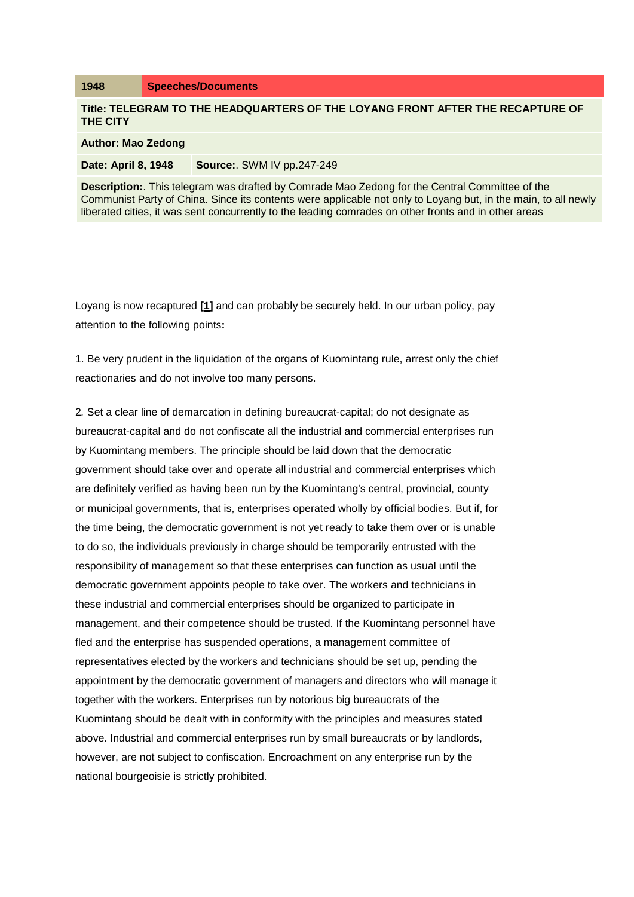| 1948 | <b>Speeches/Documents</b> |
|------|---------------------------|
|------|---------------------------|

**Title: TELEGRAM TO THE HEADQUARTERS OF THE LOYANG FRONT AFTER THE RECAPTURE OF THE CITY**

**Author: Mao Zedong**

**Date: April 8, 1948 Source:**. SWM IV pp.247-249

**Description:**. This telegram was drafted by Comrade Mao Zedong for the Central Committee of the Communist Party of China. Since its contents were applicable not only to Loyang but, in the main, to all newly liberated cities, it was sent concurrently to the leading comrades on other fronts and in other areas

Loyang is now recaptured **[\[1\]](https://www.marxists.org/reference/archive/mao/selected-works/volume-4/mswv4_37.htm%23bm1)** and can probably be securely held. In our urban policy, pay attention to the following points**:**

1. Be very prudent in the liquidation of the organs of Kuomintang rule, arrest only the chief reactionaries and do not involve too many persons.

2*.* Set a clear line of demarcation in defining bureaucrat-capital; do not designate as bureaucrat-capital and do not confiscate all the industrial and commercial enterprises run by Kuomintang members. The principle should be laid down that the democratic government should take over and operate all industrial and commercial enterprises which are definitely verified as having been run by the Kuomintang's central, provincial, county or municipal governments, that is, enterprises operated wholly by official bodies. But if, for the time being, the democratic government is not yet ready to take them over or is unable to do so, the individuals previously in charge should be temporarily entrusted with the responsibility of management so that these enterprises can function as usual until the democratic government appoints people to take over. The workers and technicians in these industrial and commercial enterprises should be organized to participate in management, and their competence should be trusted. If the Kuomintang personnel have fled and the enterprise has suspended operations, a management committee of representatives elected by the workers and technicians should be set up, pending the appointment by the democratic government of managers and directors who will manage it together with the workers. Enterprises run by notorious big bureaucrats of the Kuomintang should be dealt with in conformity with the principles and measures stated above. Industrial and commercial enterprises run by small bureaucrats or by landlords, however, are not subject to confiscation. Encroachment on any enterprise run by the national bourgeoisie is strictly prohibited.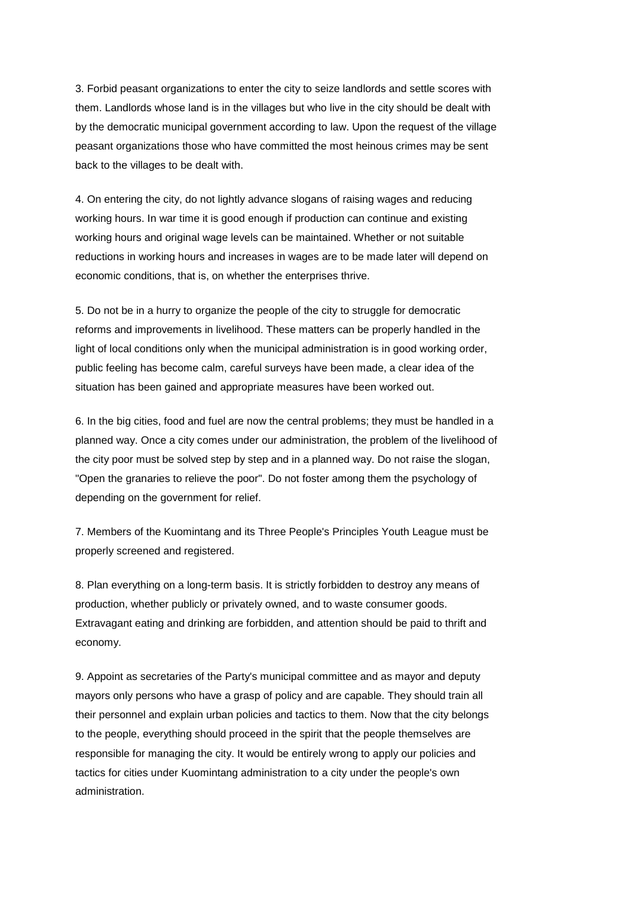3. Forbid peasant organizations to enter the city to seize landlords and settle scores with them. Landlords whose land is in the villages but who live in the city should be dealt with by the democratic municipal government according to law. Upon the request of the village peasant organizations those who have committed the most heinous crimes may be sent back to the villages to be dealt with.

4. On entering the city, do not lightly advance slogans of raising wages and reducing working hours. In war time it is good enough if production can continue and existing working hours and original wage levels can be maintained. Whether or not suitable reductions in working hours and increases in wages are to be made later will depend on economic conditions, that is, on whether the enterprises thrive.

5. Do not be in a hurry to organize the people of the city to struggle for democratic reforms and improvements in livelihood. These matters can be properly handled in the light of local conditions only when the municipal administration is in good working order, public feeling has become calm, careful surveys have been made, a clear idea of the situation has been gained and appropriate measures have been worked out.

6. In the big cities, food and fuel are now the central problems; they must be handled in a planned way. Once a city comes under our administration, the problem of the livelihood of the city poor must be solved step by step and in a planned way. Do not raise the slogan, "Open the granaries to relieve the poor". Do not foster among them the psychology of depending on the government for relief.

7. Members of the Kuomintang and its Three People's Principles Youth League must be properly screened and registered.

8. Plan everything on a long-term basis. It is strictly forbidden to destroy any means of production, whether publicly or privately owned, and to waste consumer goods. Extravagant eating and drinking are forbidden, and attention should be paid to thrift and economy.

9. Appoint as secretaries of the Party's municipal committee and as mayor and deputy mayors only persons who have a grasp of policy and are capable. They should train all their personnel and explain urban policies and tactics to them. Now that the city belongs to the people, everything should proceed in the spirit that the people themselves are responsible for managing the city. It would be entirely wrong to apply our policies and tactics for cities under Kuomintang administration to a city under the people's own administration.